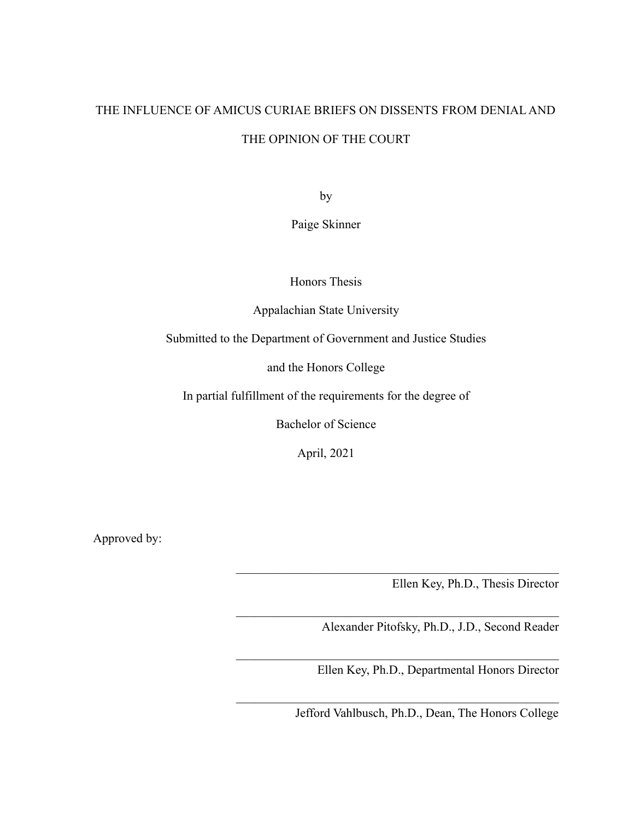# THE INFLUENCE OF AMICUS CURIAE BRIEFS ON DISSENTS FROM DENIAL AND THE OPINION OF THE COURT

by

Paige Skinner

Honors Thesis

Appalachian State University

Submitted to the Department of Government and Justice Studies

and the Honors College

In partial fulfillment of the requirements for the degree of

Bachelor of Science

April, 2021

Approved by:

Ellen Key, Ph.D., Thesis Director

Alexander Pitofsky, Ph.D., J.D., Second Reader

 $\mathcal{L}_\text{max}$  , and the contract of the contract of the contract of the contract of the contract of the contract of the contract of the contract of the contract of the contract of the contract of the contract of the contr

 $\mathcal{L}_\text{max}$  , and the contract of the contract of the contract of the contract of the contract of the contract of the contract of the contract of the contract of the contract of the contract of the contract of the contr

 $\mathcal{L}_\text{max}$  and the contract of the contract of the contract of the contract of the contract of the contract of the contract of the contract of the contract of the contract of the contract of the contract of the contrac

 $\mathcal{L}_\text{max}$  , and the contract of the contract of the contract of the contract of the contract of the contract of the contract of the contract of the contract of the contract of the contract of the contract of the contr

Ellen Key, Ph.D., Departmental Honors Director

Jefford Vahlbusch, Ph.D., Dean, The Honors College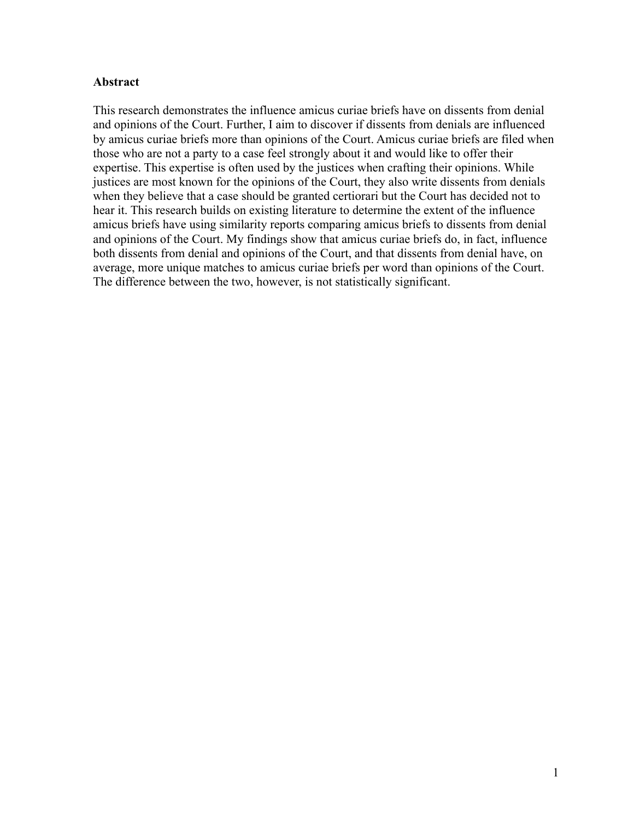# **Abstract**

This research demonstrates the influence amicus curiae briefs have on dissents from denial and opinions of the Court. Further, I aim to discover if dissents from denials are influenced by amicus curiae briefs more than opinions of the Court. Amicus curiae briefs are filed when those who are not a party to a case feel strongly about it and would like to offer their expertise. This expertise is often used by the justices when crafting their opinions. While justices are most known for the opinions of the Court, they also write dissents from denials when they believe that a case should be granted certiorari but the Court has decided not to hear it. This research builds on existing literature to determine the extent of the influence amicus briefs have using similarity reports comparing amicus briefs to dissents from denial and opinions of the Court. My findings show that amicus curiae briefs do, in fact, influence both dissents from denial and opinions of the Court, and that dissents from denial have, on average, more unique matches to amicus curiae briefs per word than opinions of the Court. The difference between the two, however, is not statistically significant.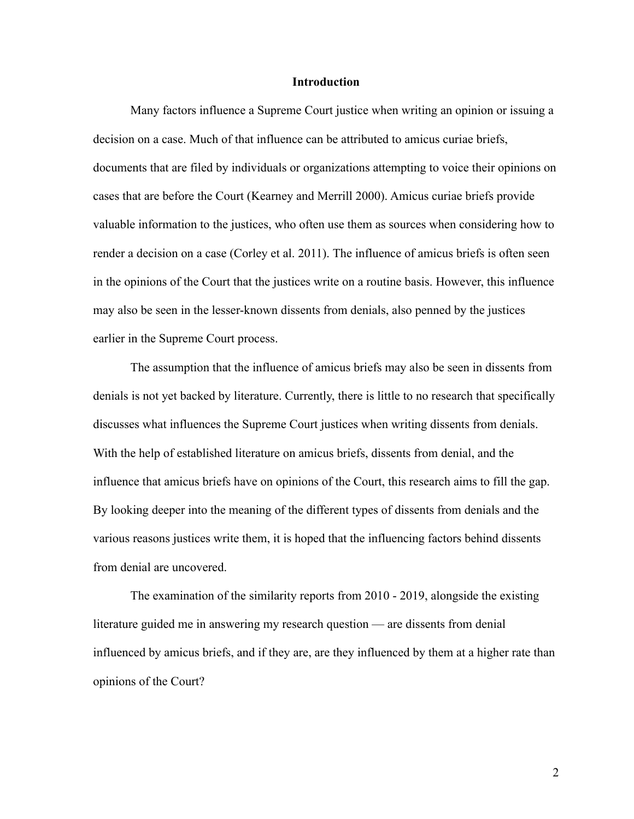## **Introduction**

Many factors influence a Supreme Court justice when writing an opinion or issuing a decision on a case. Much of that influence can be attributed to amicus curiae briefs, documents that are filed by individuals or organizations attempting to voice their opinions on cases that are before the Court (Kearney and Merrill 2000). Amicus curiae briefs provide valuable information to the justices, who often use them as sources when considering how to render a decision on a case (Corley et al. 2011). The influence of amicus briefs is often seen in the opinions of the Court that the justices write on a routine basis. However, this influence may also be seen in the lesser-known dissents from denials, also penned by the justices earlier in the Supreme Court process.

The assumption that the influence of amicus briefs may also be seen in dissents from denials is not yet backed by literature. Currently, there is little to no research that specifically discusses what influences the Supreme Court justices when writing dissents from denials. With the help of established literature on amicus briefs, dissents from denial, and the influence that amicus briefs have on opinions of the Court, this research aims to fill the gap. By looking deeper into the meaning of the different types of dissents from denials and the various reasons justices write them, it is hoped that the influencing factors behind dissents from denial are uncovered.

The examination of the similarity reports from 2010 - 2019, alongside the existing literature guided me in answering my research question — are dissents from denial influenced by amicus briefs, and if they are, are they influenced by them at a higher rate than opinions of the Court?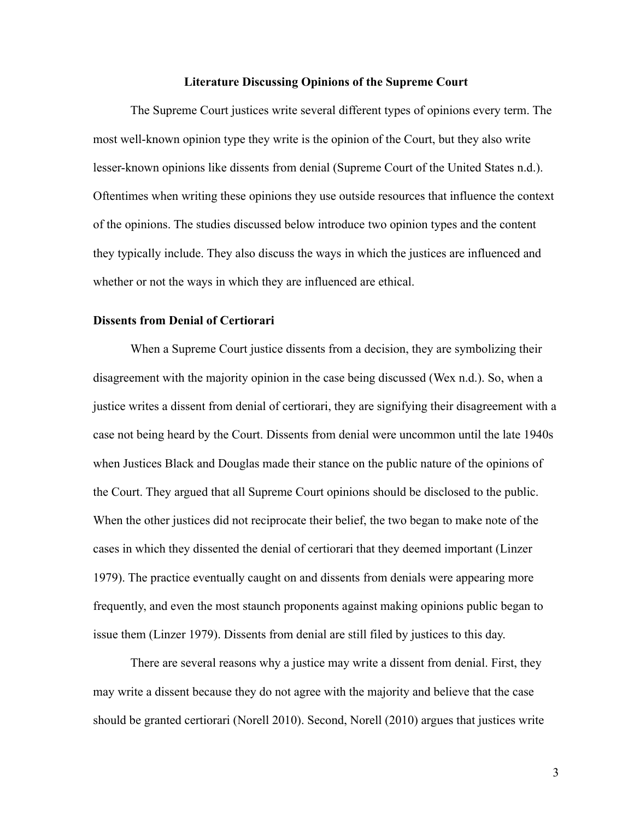# **Literature Discussing Opinions of the Supreme Court**

The Supreme Court justices write several different types of opinions every term. The most well-known opinion type they write is the opinion of the Court, but they also write lesser-known opinions like dissents from denial (Supreme Court of the United States n.d.). Oftentimes when writing these opinions they use outside resources that influence the context of the opinions. The studies discussed below introduce two opinion types and the content they typically include. They also discuss the ways in which the justices are influenced and whether or not the ways in which they are influenced are ethical.

# **Dissents from Denial of Certiorari**

When a Supreme Court justice dissents from a decision, they are symbolizing their disagreement with the majority opinion in the case being discussed (Wex n.d.). So, when a justice writes a dissent from denial of certiorari, they are signifying their disagreement with a case not being heard by the Court. Dissents from denial were uncommon until the late 1940s when Justices Black and Douglas made their stance on the public nature of the opinions of the Court. They argued that all Supreme Court opinions should be disclosed to the public. When the other justices did not reciprocate their belief, the two began to make note of the cases in which they dissented the denial of certiorari that they deemed important (Linzer 1979). The practice eventually caught on and dissents from denials were appearing more frequently, and even the most staunch proponents against making opinions public began to issue them (Linzer 1979). Dissents from denial are still filed by justices to this day.

There are several reasons why a justice may write a dissent from denial. First, they may write a dissent because they do not agree with the majority and believe that the case should be granted certiorari (Norell 2010). Second, Norell (2010) argues that justices write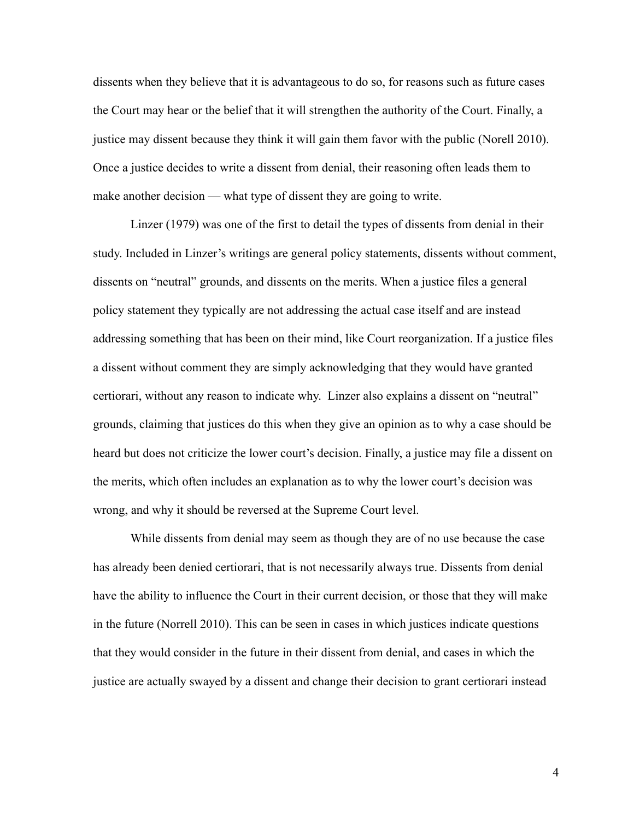dissents when they believe that it is advantageous to do so, for reasons such as future cases the Court may hear or the belief that it will strengthen the authority of the Court. Finally, a justice may dissent because they think it will gain them favor with the public (Norell 2010). Once a justice decides to write a dissent from denial, their reasoning often leads them to make another decision — what type of dissent they are going to write.

Linzer (1979) was one of the first to detail the types of dissents from denial in their study. Included in Linzer's writings are general policy statements, dissents without comment, dissents on "neutral" grounds, and dissents on the merits. When a justice files a general policy statement they typically are not addressing the actual case itself and are instead addressing something that has been on their mind, like Court reorganization. If a justice files a dissent without comment they are simply acknowledging that they would have granted certiorari, without any reason to indicate why. Linzer also explains a dissent on "neutral" grounds, claiming that justices do this when they give an opinion as to why a case should be heard but does not criticize the lower court's decision. Finally, a justice may file a dissent on the merits, which often includes an explanation as to why the lower court's decision was wrong, and why it should be reversed at the Supreme Court level.

While dissents from denial may seem as though they are of no use because the case has already been denied certiorari, that is not necessarily always true. Dissents from denial have the ability to influence the Court in their current decision, or those that they will make in the future (Norrell 2010). This can be seen in cases in which justices indicate questions that they would consider in the future in their dissent from denial, and cases in which the justice are actually swayed by a dissent and change their decision to grant certiorari instead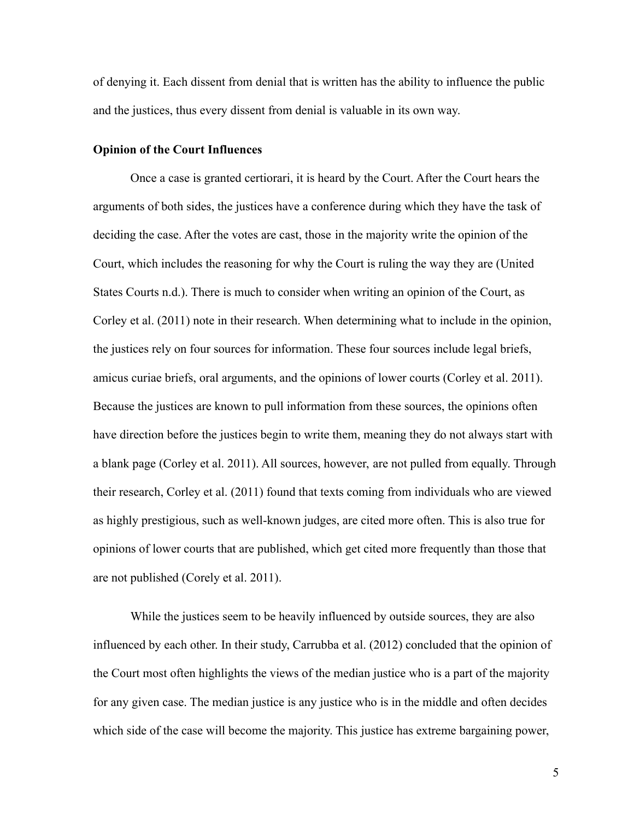of denying it. Each dissent from denial that is written has the ability to influence the public and the justices, thus every dissent from denial is valuable in its own way.

## **Opinion of the Court Influences**

Once a case is granted certiorari, it is heard by the Court. After the Court hears the arguments of both sides, the justices have a conference during which they have the task of deciding the case. After the votes are cast, those in the majority write the opinion of the Court, which includes the reasoning for why the Court is ruling the way they are (United States Courts n.d.). There is much to consider when writing an opinion of the Court, as Corley et al. (2011) note in their research. When determining what to include in the opinion, the justices rely on four sources for information. These four sources include legal briefs, amicus curiae briefs, oral arguments, and the opinions of lower courts (Corley et al. 2011). Because the justices are known to pull information from these sources, the opinions often have direction before the justices begin to write them, meaning they do not always start with a blank page (Corley et al. 2011). All sources, however, are not pulled from equally. Through their research, Corley et al. (2011) found that texts coming from individuals who are viewed as highly prestigious, such as well-known judges, are cited more often. This is also true for opinions of lower courts that are published, which get cited more frequently than those that are not published (Corely et al. 2011).

While the justices seem to be heavily influenced by outside sources, they are also influenced by each other. In their study, Carrubba et al. (2012) concluded that the opinion of the Court most often highlights the views of the median justice who is a part of the majority for any given case. The median justice is any justice who is in the middle and often decides which side of the case will become the majority. This justice has extreme bargaining power,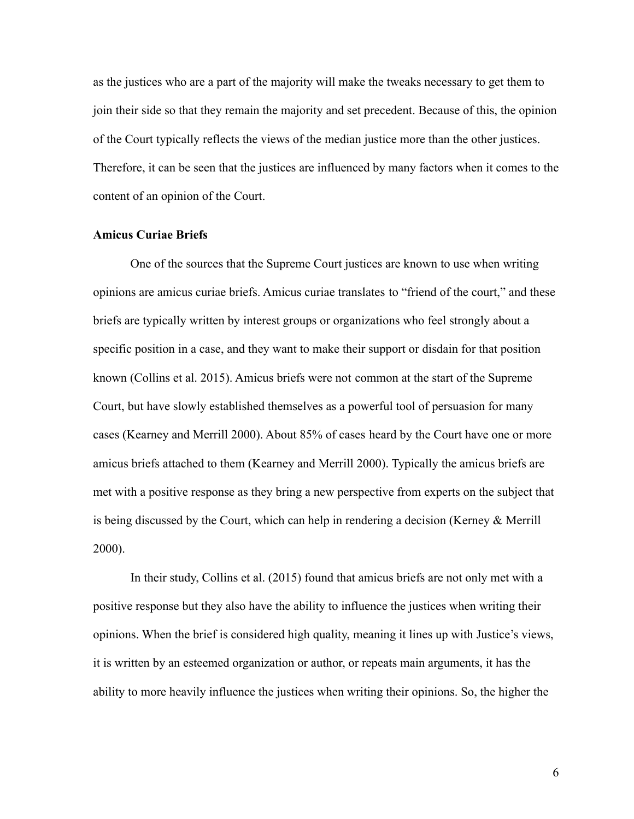as the justices who are a part of the majority will make the tweaks necessary to get them to join their side so that they remain the majority and set precedent. Because of this, the opinion of the Court typically reflects the views of the median justice more than the other justices. Therefore, it can be seen that the justices are influenced by many factors when it comes to the content of an opinion of the Court.

# **Amicus Curiae Briefs**

One of the sources that the Supreme Court justices are known to use when writing opinions are amicus curiae briefs. Amicus curiae translates to "friend of the court," and these briefs are typically written by interest groups or organizations who feel strongly about a specific position in a case, and they want to make their support or disdain for that position known (Collins et al. 2015). Amicus briefs were not common at the start of the Supreme Court, but have slowly established themselves as a powerful tool of persuasion for many cases (Kearney and Merrill 2000). About 85% of cases heard by the Court have one or more amicus briefs attached to them (Kearney and Merrill 2000). Typically the amicus briefs are met with a positive response as they bring a new perspective from experts on the subject that is being discussed by the Court, which can help in rendering a decision (Kerney & Merrill 2000).

In their study, Collins et al. (2015) found that amicus briefs are not only met with a positive response but they also have the ability to influence the justices when writing their opinions. When the brief is considered high quality, meaning it lines up with Justice's views, it is written by an esteemed organization or author, or repeats main arguments, it has the ability to more heavily influence the justices when writing their opinions. So, the higher the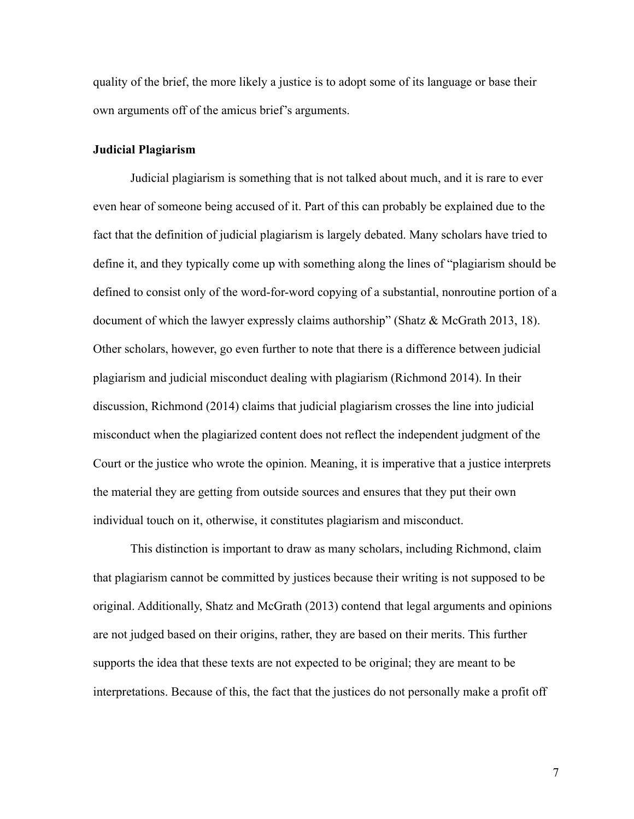quality of the brief, the more likely a justice is to adopt some of its language or base their own arguments off of the amicus brief's arguments.

# **Judicial Plagiarism**

Judicial plagiarism is something that is not talked about much, and it is rare to ever even hear of someone being accused of it. Part of this can probably be explained due to the fact that the definition of judicial plagiarism is largely debated. Many scholars have tried to define it, and they typically come up with something along the lines of "plagiarism should be defined to consist only of the word-for-word copying of a substantial, nonroutine portion of a document of which the lawyer expressly claims authorship" (Shatz & McGrath 2013, 18). Other scholars, however, go even further to note that there is a difference between judicial plagiarism and judicial misconduct dealing with plagiarism (Richmond 2014). In their discussion, Richmond (2014) claims that judicial plagiarism crosses the line into judicial misconduct when the plagiarized content does not reflect the independent judgment of the Court or the justice who wrote the opinion. Meaning, it is imperative that a justice interprets the material they are getting from outside sources and ensures that they put their own individual touch on it, otherwise, it constitutes plagiarism and misconduct.

This distinction is important to draw as many scholars, including Richmond, claim that plagiarism cannot be committed by justices because their writing is not supposed to be original. Additionally, Shatz and McGrath (2013) contend that legal arguments and opinions are not judged based on their origins, rather, they are based on their merits. This further supports the idea that these texts are not expected to be original; they are meant to be interpretations. Because of this, the fact that the justices do not personally make a profit off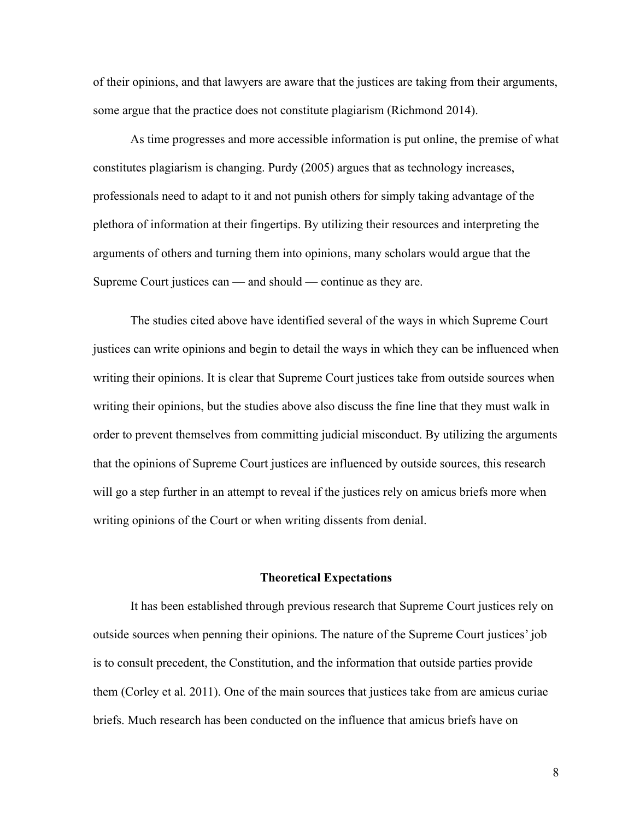of their opinions, and that lawyers are aware that the justices are taking from their arguments, some argue that the practice does not constitute plagiarism (Richmond 2014).

As time progresses and more accessible information is put online, the premise of what constitutes plagiarism is changing. Purdy (2005) argues that as technology increases, professionals need to adapt to it and not punish others for simply taking advantage of the plethora of information at their fingertips. By utilizing their resources and interpreting the arguments of others and turning them into opinions, many scholars would argue that the Supreme Court justices can — and should — continue as they are.

The studies cited above have identified several of the ways in which Supreme Court justices can write opinions and begin to detail the ways in which they can be influenced when writing their opinions. It is clear that Supreme Court justices take from outside sources when writing their opinions, but the studies above also discuss the fine line that they must walk in order to prevent themselves from committing judicial misconduct. By utilizing the arguments that the opinions of Supreme Court justices are influenced by outside sources, this research will go a step further in an attempt to reveal if the justices rely on amicus briefs more when writing opinions of the Court or when writing dissents from denial.

# **Theoretical Expectations**

It has been established through previous research that Supreme Court justices rely on outside sources when penning their opinions. The nature of the Supreme Court justices' job is to consult precedent, the Constitution, and the information that outside parties provide them (Corley et al. 2011). One of the main sources that justices take from are amicus curiae briefs. Much research has been conducted on the influence that amicus briefs have on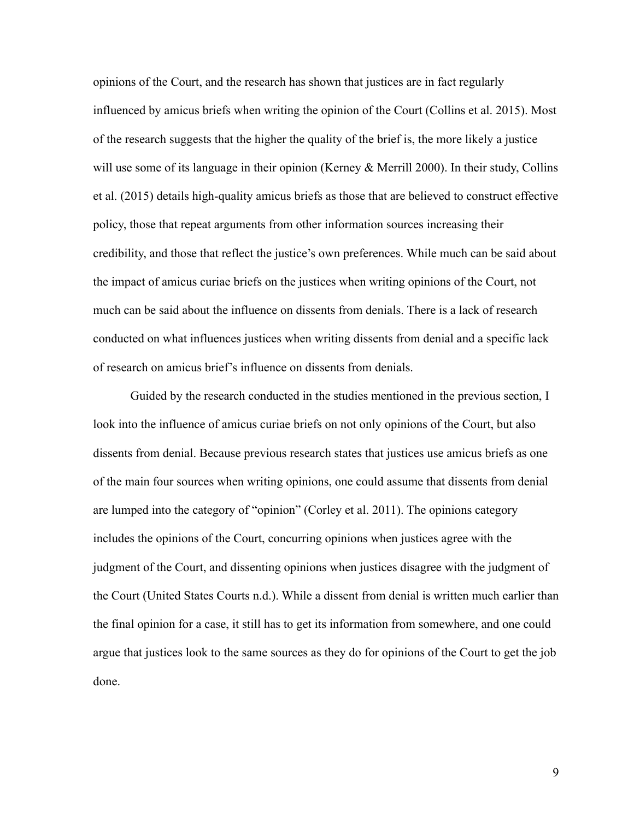opinions of the Court, and the research has shown that justices are in fact regularly influenced by amicus briefs when writing the opinion of the Court (Collins et al. 2015). Most of the research suggests that the higher the quality of the brief is, the more likely a justice will use some of its language in their opinion (Kerney & Merrill 2000). In their study, Collins et al. (2015) details high-quality amicus briefs as those that are believed to construct effective policy, those that repeat arguments from other information sources increasing their credibility, and those that reflect the justice's own preferences. While much can be said about the impact of amicus curiae briefs on the justices when writing opinions of the Court, not much can be said about the influence on dissents from denials. There is a lack of research conducted on what influences justices when writing dissents from denial and a specific lack of research on amicus brief's influence on dissents from denials.

Guided by the research conducted in the studies mentioned in the previous section, I look into the influence of amicus curiae briefs on not only opinions of the Court, but also dissents from denial. Because previous research states that justices use amicus briefs as one of the main four sources when writing opinions, one could assume that dissents from denial are lumped into the category of "opinion" (Corley et al. 2011). The opinions category includes the opinions of the Court, concurring opinions when justices agree with the judgment of the Court, and dissenting opinions when justices disagree with the judgment of the Court (United States Courts n.d.). While a dissent from denial is written much earlier than the final opinion for a case, it still has to get its information from somewhere, and one could argue that justices look to the same sources as they do for opinions of the Court to get the job done.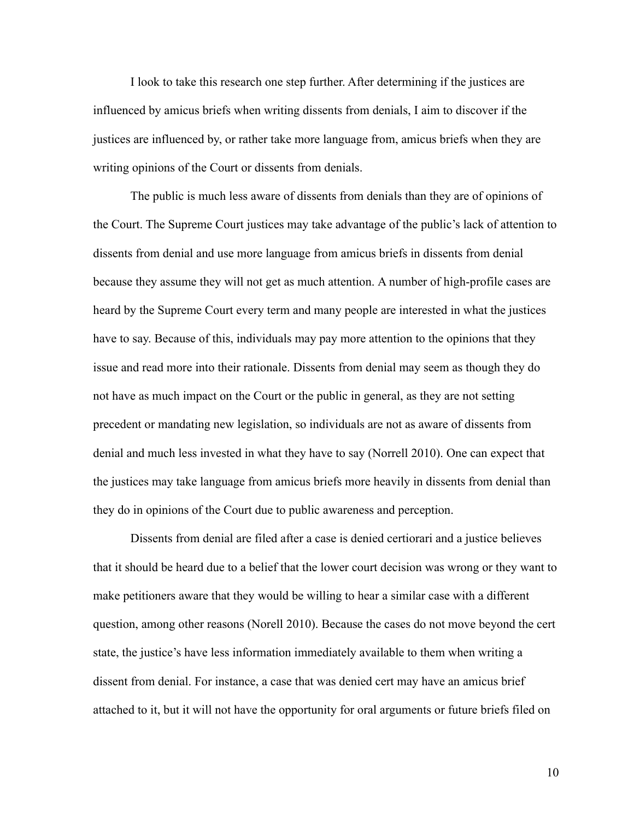I look to take this research one step further. After determining if the justices are influenced by amicus briefs when writing dissents from denials, I aim to discover if the justices are influenced by, or rather take more language from, amicus briefs when they are writing opinions of the Court or dissents from denials.

The public is much less aware of dissents from denials than they are of opinions of the Court. The Supreme Court justices may take advantage of the public's lack of attention to dissents from denial and use more language from amicus briefs in dissents from denial because they assume they will not get as much attention. A number of high-profile cases are heard by the Supreme Court every term and many people are interested in what the justices have to say. Because of this, individuals may pay more attention to the opinions that they issue and read more into their rationale. Dissents from denial may seem as though they do not have as much impact on the Court or the public in general, as they are not setting precedent or mandating new legislation, so individuals are not as aware of dissents from denial and much less invested in what they have to say (Norrell 2010). One can expect that the justices may take language from amicus briefs more heavily in dissents from denial than they do in opinions of the Court due to public awareness and perception.

Dissents from denial are filed after a case is denied certiorari and a justice believes that it should be heard due to a belief that the lower court decision was wrong or they want to make petitioners aware that they would be willing to hear a similar case with a different question, among other reasons (Norell 2010). Because the cases do not move beyond the cert state, the justice's have less information immediately available to them when writing a dissent from denial. For instance, a case that was denied cert may have an amicus brief attached to it, but it will not have the opportunity for oral arguments or future briefs filed on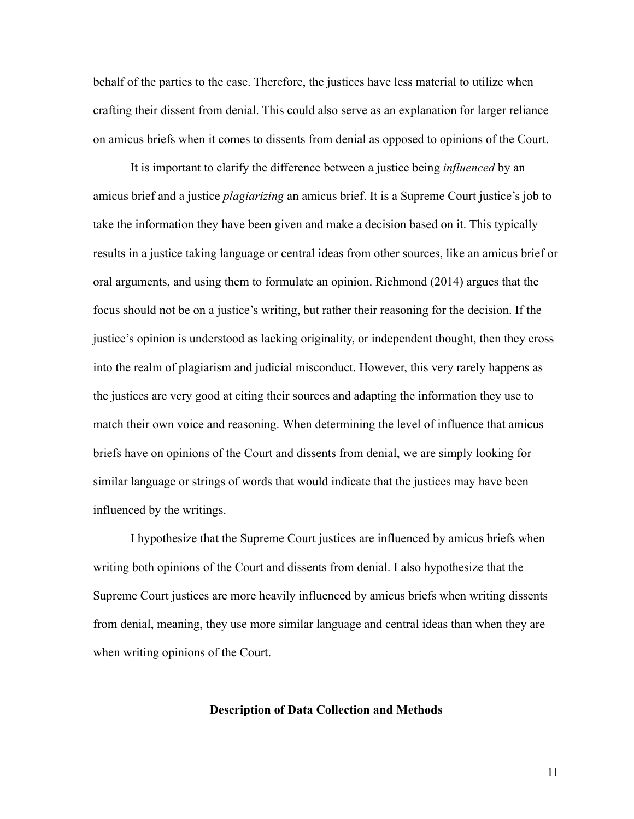behalf of the parties to the case. Therefore, the justices have less material to utilize when crafting their dissent from denial. This could also serve as an explanation for larger reliance on amicus briefs when it comes to dissents from denial as opposed to opinions of the Court.

It is important to clarify the difference between a justice being *influenced* by an amicus brief and a justice *plagiarizing* an amicus brief. It is a Supreme Court justice's job to take the information they have been given and make a decision based on it. This typically results in a justice taking language or central ideas from other sources, like an amicus brief or oral arguments, and using them to formulate an opinion. Richmond (2014) argues that the focus should not be on a justice's writing, but rather their reasoning for the decision. If the justice's opinion is understood as lacking originality, or independent thought, then they cross into the realm of plagiarism and judicial misconduct. However, this very rarely happens as the justices are very good at citing their sources and adapting the information they use to match their own voice and reasoning. When determining the level of influence that amicus briefs have on opinions of the Court and dissents from denial, we are simply looking for similar language or strings of words that would indicate that the justices may have been influenced by the writings.

I hypothesize that the Supreme Court justices are influenced by amicus briefs when writing both opinions of the Court and dissents from denial. I also hypothesize that the Supreme Court justices are more heavily influenced by amicus briefs when writing dissents from denial, meaning, they use more similar language and central ideas than when they are when writing opinions of the Court.

## **Description of Data Collection and Methods**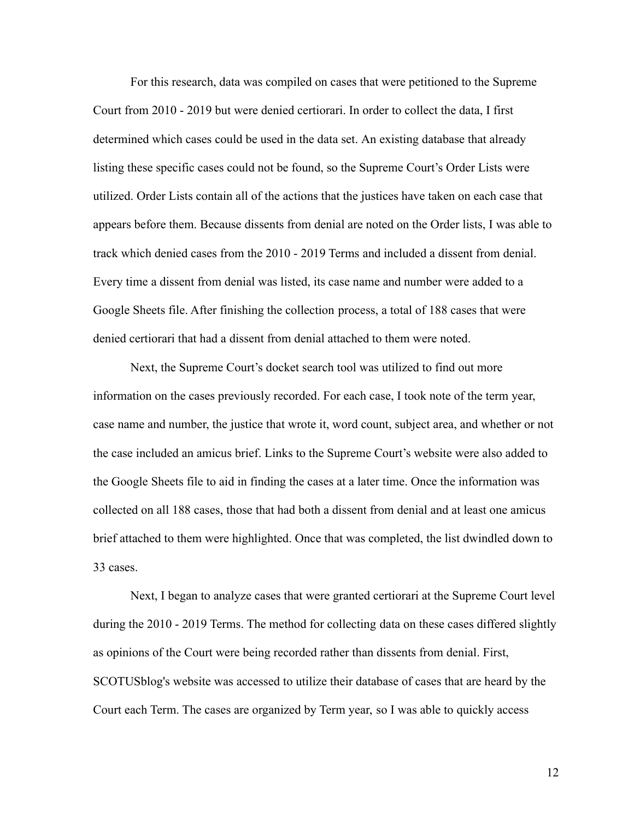For this research, data was compiled on cases that were petitioned to the Supreme Court from 2010 - 2019 but were denied certiorari. In order to collect the data, I first determined which cases could be used in the data set. An existing database that already listing these specific cases could not be found, so the Supreme Court's Order Lists were utilized. Order Lists contain all of the actions that the justices have taken on each case that appears before them. Because dissents from denial are noted on the Order lists, I was able to track which denied cases from the 2010 - 2019 Terms and included a dissent from denial. Every time a dissent from denial was listed, its case name and number were added to a Google Sheets file. After finishing the collection process, a total of 188 cases that were denied certiorari that had a dissent from denial attached to them were noted.

Next, the Supreme Court's docket search tool was utilized to find out more information on the cases previously recorded. For each case, I took note of the term year, case name and number, the justice that wrote it, word count, subject area, and whether or not the case included an amicus brief. Links to the Supreme Court's website were also added to the Google Sheets file to aid in finding the cases at a later time. Once the information was collected on all 188 cases, those that had both a dissent from denial and at least one amicus brief attached to them were highlighted. Once that was completed, the list dwindled down to 33 cases.

Next, I began to analyze cases that were granted certiorari at the Supreme Court level during the 2010 - 2019 Terms. The method for collecting data on these cases differed slightly as opinions of the Court were being recorded rather than dissents from denial. First, SCOTUSblog's website was accessed to utilize their database of cases that are heard by the Court each Term. The cases are organized by Term year, so I was able to quickly access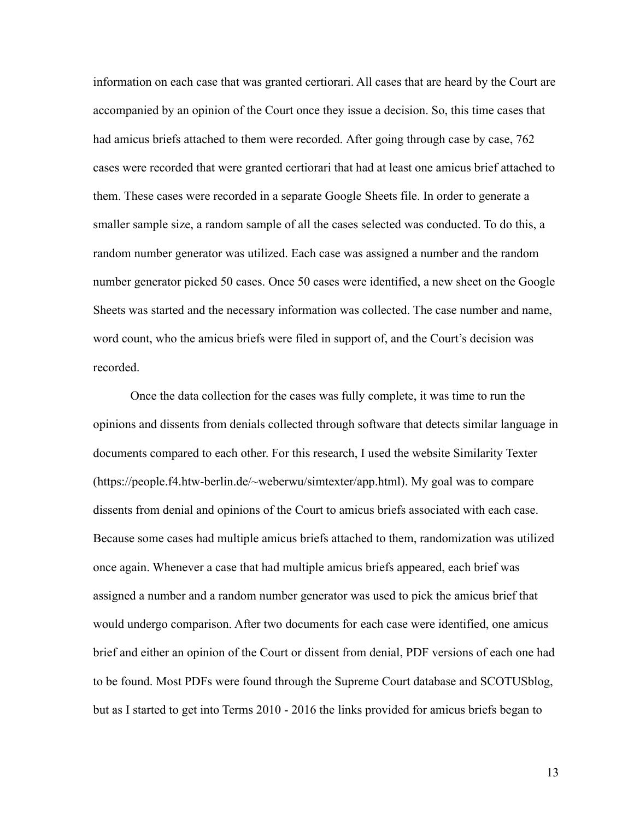information on each case that was granted certiorari. All cases that are heard by the Court are accompanied by an opinion of the Court once they issue a decision. So, this time cases that had amicus briefs attached to them were recorded. After going through case by case, 762 cases were recorded that were granted certiorari that had at least one amicus brief attached to them. These cases were recorded in a separate Google Sheets file. In order to generate a smaller sample size, a random sample of all the cases selected was conducted. To do this, a random number generator was utilized. Each case was assigned a number and the random number generator picked 50 cases. Once 50 cases were identified, a new sheet on the Google Sheets was started and the necessary information was collected. The case number and name, word count, who the amicus briefs were filed in support of, and the Court's decision was recorded.

Once the data collection for the cases was fully complete, it was time to run the opinions and dissents from denials collected through software that detects similar language in documents compared to each other. For this research, I used the website Similarity Texter (https://people.f4.htw-berlin.de/~weberwu/simtexter/app.html). My goal was to compare dissents from denial and opinions of the Court to amicus briefs associated with each case. Because some cases had multiple amicus briefs attached to them, randomization was utilized once again. Whenever a case that had multiple amicus briefs appeared, each brief was assigned a number and a random number generator was used to pick the amicus brief that would undergo comparison. After two documents for each case were identified, one amicus brief and either an opinion of the Court or dissent from denial, PDF versions of each one had to be found. Most PDFs were found through the Supreme Court database and SCOTUSblog, but as I started to get into Terms 2010 - 2016 the links provided for amicus briefs began to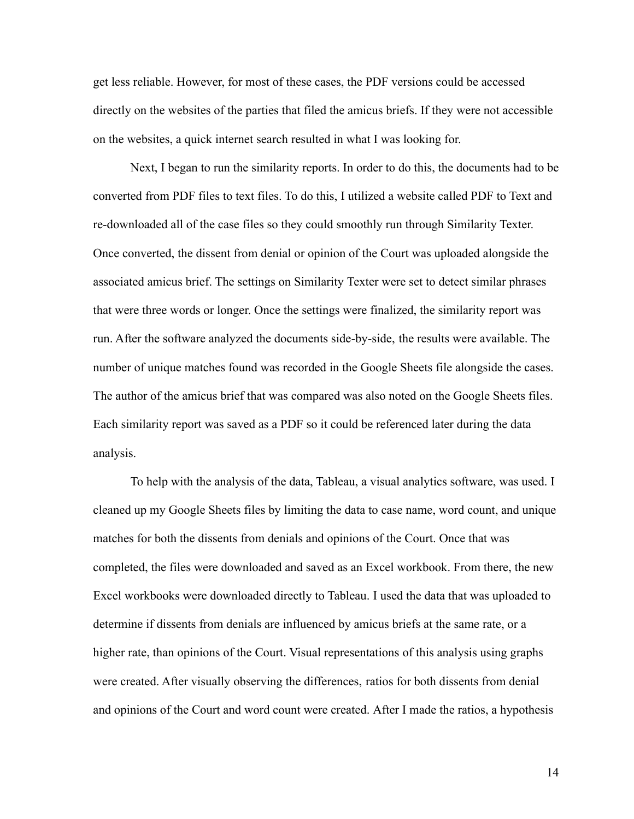get less reliable. However, for most of these cases, the PDF versions could be accessed directly on the websites of the parties that filed the amicus briefs. If they were not accessible on the websites, a quick internet search resulted in what I was looking for.

Next, I began to run the similarity reports. In order to do this, the documents had to be converted from PDF files to text files. To do this, I utilized a website called PDF to Text and re-downloaded all of the case files so they could smoothly run through Similarity Texter. Once converted, the dissent from denial or opinion of the Court was uploaded alongside the associated amicus brief. The settings on Similarity Texter were set to detect similar phrases that were three words or longer. Once the settings were finalized, the similarity report was run. After the software analyzed the documents side-by-side, the results were available. The number of unique matches found was recorded in the Google Sheets file alongside the cases. The author of the amicus brief that was compared was also noted on the Google Sheets files. Each similarity report was saved as a PDF so it could be referenced later during the data analysis.

To help with the analysis of the data, Tableau, a visual analytics software, was used. I cleaned up my Google Sheets files by limiting the data to case name, word count, and unique matches for both the dissents from denials and opinions of the Court. Once that was completed, the files were downloaded and saved as an Excel workbook. From there, the new Excel workbooks were downloaded directly to Tableau. I used the data that was uploaded to determine if dissents from denials are influenced by amicus briefs at the same rate, or a higher rate, than opinions of the Court. Visual representations of this analysis using graphs were created. After visually observing the differences, ratios for both dissents from denial and opinions of the Court and word count were created. After I made the ratios, a hypothesis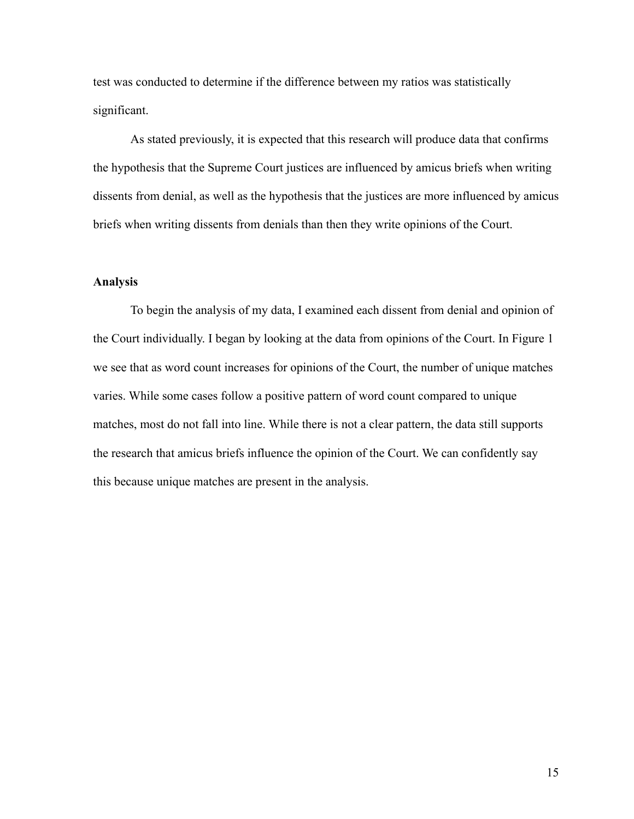test was conducted to determine if the difference between my ratios was statistically significant.

As stated previously, it is expected that this research will produce data that confirms the hypothesis that the Supreme Court justices are influenced by amicus briefs when writing dissents from denial, as well as the hypothesis that the justices are more influenced by amicus briefs when writing dissents from denials than then they write opinions of the Court.

# **Analysis**

To begin the analysis of my data, I examined each dissent from denial and opinion of the Court individually. I began by looking at the data from opinions of the Court. In Figure 1 we see that as word count increases for opinions of the Court, the number of unique matches varies. While some cases follow a positive pattern of word count compared to unique matches, most do not fall into line. While there is not a clear pattern, the data still supports the research that amicus briefs influence the opinion of the Court. We can confidently say this because unique matches are present in the analysis.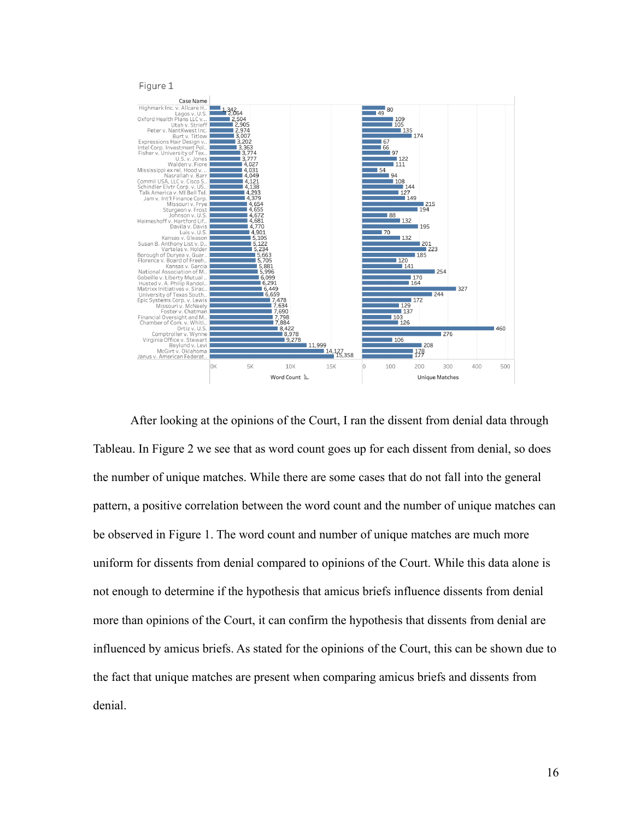

After looking at the opinions of the Court, I ran the dissent from denial data through Tableau. In Figure 2 we see that as word count goes up for each dissent from denial, so does the number of unique matches. While there are some cases that do not fall into the general pattern, a positive correlation between the word count and the number of unique matches can be observed in Figure 1. The word count and number of unique matches are much more uniform for dissents from denial compared to opinions of the Court. While this data alone is not enough to determine if the hypothesis that amicus briefs influence dissents from denial more than opinions of the Court, it can confirm the hypothesis that dissents from denial are influenced by amicus briefs. As stated for the opinions of the Court, this can be shown due to the fact that unique matches are present when comparing amicus briefs and dissents from denial.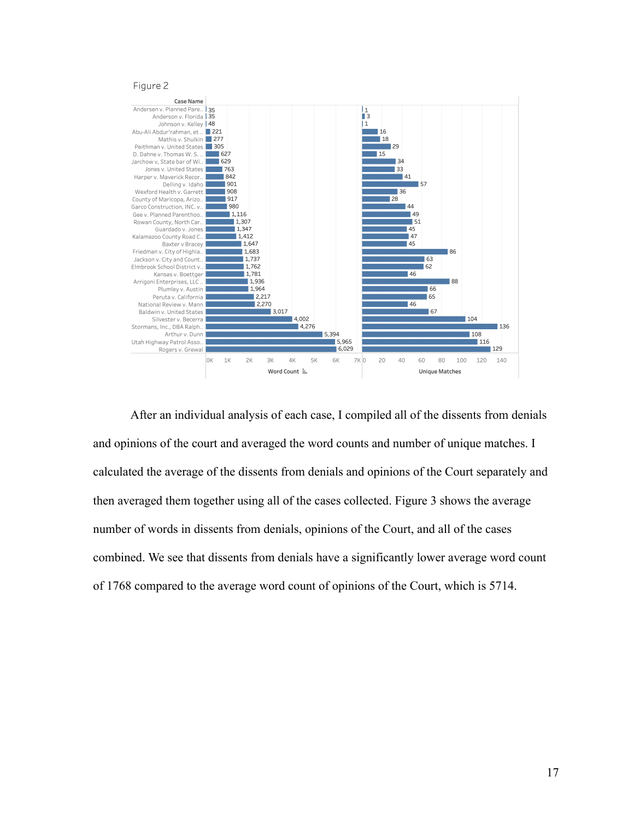#### Figure 2



After an individual analysis of each case, I compiled all of the dissents from denials and opinions of the court and averaged the word counts and number of unique matches. I calculated the average of the dissents from denials and opinions of the Court separately and then averaged them together using all of the cases collected. Figure 3 shows the average number of words in dissents from denials, opinions of the Court, and all of the cases combined. We see that dissents from denials have a significantly lower average word count of 1768 compared to the average word count of opinions of the Court, which is 5714.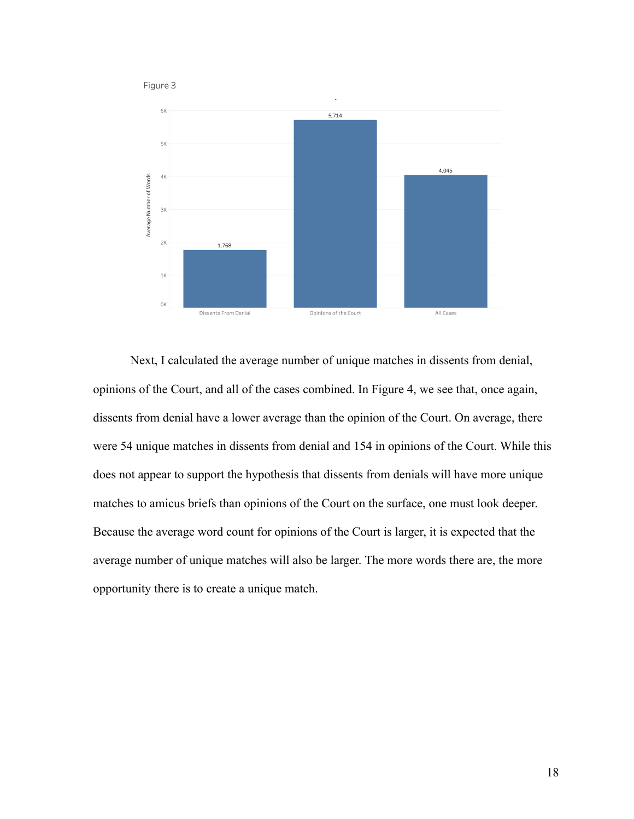

Next, I calculated the average number of unique matches in dissents from denial, opinions of the Court, and all of the cases combined. In Figure 4, we see that, once again, dissents from denial have a lower average than the opinion of the Court. On average, there were 54 unique matches in dissents from denial and 154 in opinions of the Court. While this does not appear to support the hypothesis that dissents from denials will have more unique matches to amicus briefs than opinions of the Court on the surface, one must look deeper. Because the average word count for opinions of the Court is larger, it is expected that the average number of unique matches will also be larger. The more words there are, the more opportunity there is to create a unique match.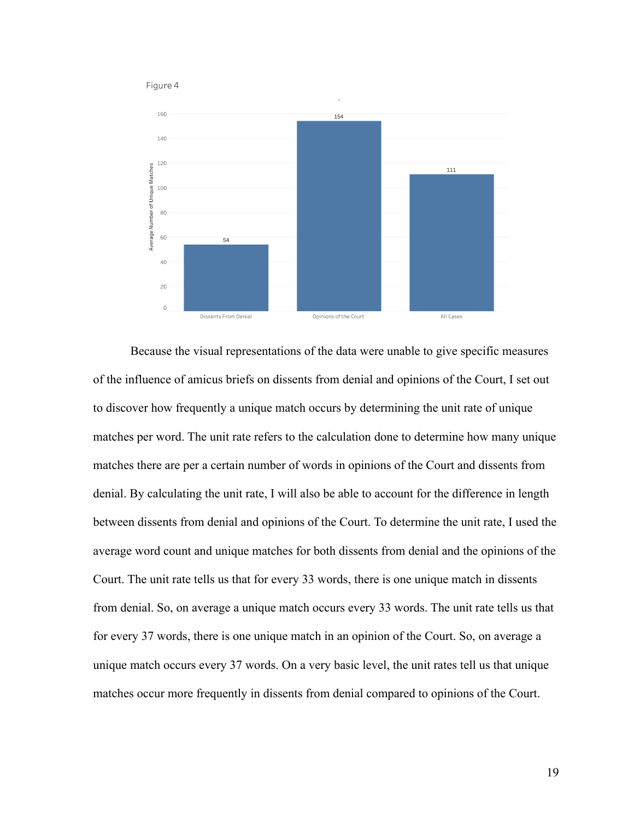

Because the visual representations of the data were unable to give specific measures of the influence of amicus briefs on dissents from denial and opinions of the Court, I set out to discover how frequently a unique match occurs by determining the unit rate of unique matches per word. The unit rate refers to the calculation done to determine how many unique matches there are per a certain number of words in opinions of the Court and dissents from denial. By calculating the unit rate, I will also be able to account for the difference in length between dissents from denial and opinions of the Court. To determine the unit rate, I used the average word count and unique matches for both dissents from denial and the opinions of the Court. The unit rate tells us that for every 33 words, there is one unique match in dissents from denial. So, on average a unique match occurs every 33 words. The unit rate tells us that for every 37 words, there is one unique match in an opinion of the Court. So, on average a unique match occurs every 37 words. On a very basic level, the unit rates tell us that unique matches occur more frequently in dissents from denial compared to opinions of the Court.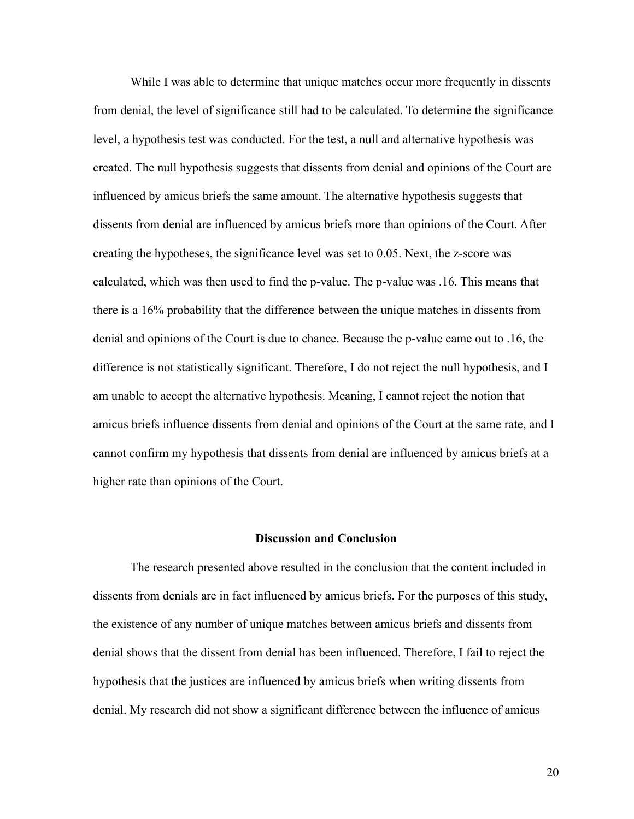While I was able to determine that unique matches occur more frequently in dissents from denial, the level of significance still had to be calculated. To determine the significance level, a hypothesis test was conducted. For the test, a null and alternative hypothesis was created. The null hypothesis suggests that dissents from denial and opinions of the Court are influenced by amicus briefs the same amount. The alternative hypothesis suggests that dissents from denial are influenced by amicus briefs more than opinions of the Court. After creating the hypotheses, the significance level was set to 0.05. Next, the z-score was calculated, which was then used to find the p-value. The p-value was .16. This means that there is a 16% probability that the difference between the unique matches in dissents from denial and opinions of the Court is due to chance. Because the p-value came out to .16, the difference is not statistically significant. Therefore, I do not reject the null hypothesis, and I am unable to accept the alternative hypothesis. Meaning, I cannot reject the notion that amicus briefs influence dissents from denial and opinions of the Court at the same rate, and I cannot confirm my hypothesis that dissents from denial are influenced by amicus briefs at a higher rate than opinions of the Court.

#### **Discussion and Conclusion**

The research presented above resulted in the conclusion that the content included in dissents from denials are in fact influenced by amicus briefs. For the purposes of this study, the existence of any number of unique matches between amicus briefs and dissents from denial shows that the dissent from denial has been influenced. Therefore, I fail to reject the hypothesis that the justices are influenced by amicus briefs when writing dissents from denial. My research did not show a significant difference between the influence of amicus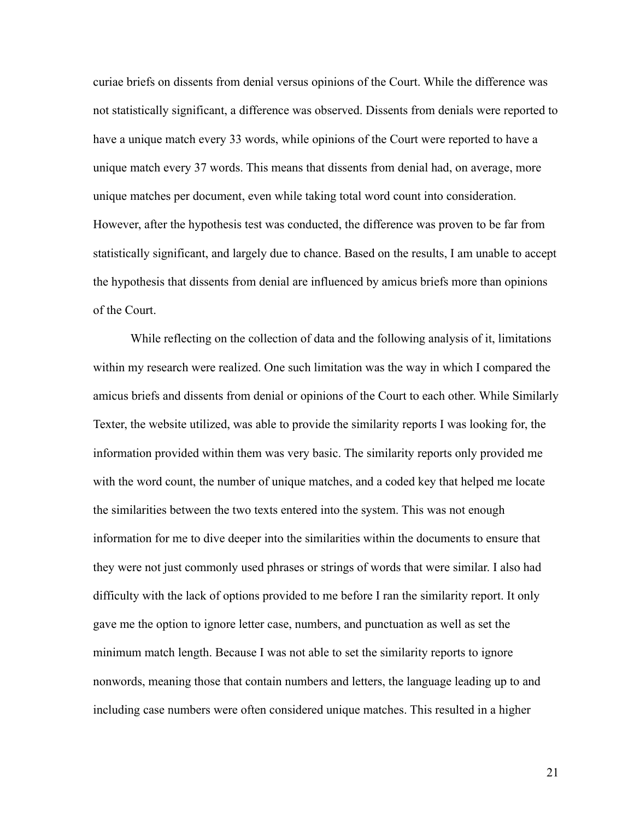curiae briefs on dissents from denial versus opinions of the Court. While the difference was not statistically significant, a difference was observed. Dissents from denials were reported to have a unique match every 33 words, while opinions of the Court were reported to have a unique match every 37 words. This means that dissents from denial had, on average, more unique matches per document, even while taking total word count into consideration. However, after the hypothesis test was conducted, the difference was proven to be far from statistically significant, and largely due to chance. Based on the results, I am unable to accept the hypothesis that dissents from denial are influenced by amicus briefs more than opinions of the Court.

While reflecting on the collection of data and the following analysis of it, limitations within my research were realized. One such limitation was the way in which I compared the amicus briefs and dissents from denial or opinions of the Court to each other. While Similarly Texter, the website utilized, was able to provide the similarity reports I was looking for, the information provided within them was very basic. The similarity reports only provided me with the word count, the number of unique matches, and a coded key that helped me locate the similarities between the two texts entered into the system. This was not enough information for me to dive deeper into the similarities within the documents to ensure that they were not just commonly used phrases or strings of words that were similar. I also had difficulty with the lack of options provided to me before I ran the similarity report. It only gave me the option to ignore letter case, numbers, and punctuation as well as set the minimum match length. Because I was not able to set the similarity reports to ignore nonwords, meaning those that contain numbers and letters, the language leading up to and including case numbers were often considered unique matches. This resulted in a higher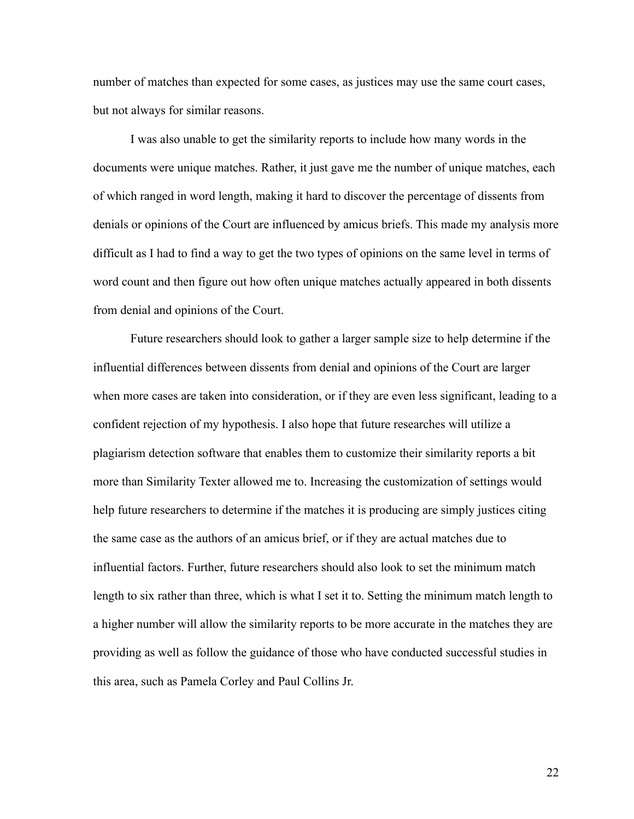number of matches than expected for some cases, as justices may use the same court cases, but not always for similar reasons.

I was also unable to get the similarity reports to include how many words in the documents were unique matches. Rather, it just gave me the number of unique matches, each of which ranged in word length, making it hard to discover the percentage of dissents from denials or opinions of the Court are influenced by amicus briefs. This made my analysis more difficult as I had to find a way to get the two types of opinions on the same level in terms of word count and then figure out how often unique matches actually appeared in both dissents from denial and opinions of the Court.

Future researchers should look to gather a larger sample size to help determine if the influential differences between dissents from denial and opinions of the Court are larger when more cases are taken into consideration, or if they are even less significant, leading to a confident rejection of my hypothesis. I also hope that future researches will utilize a plagiarism detection software that enables them to customize their similarity reports a bit more than Similarity Texter allowed me to. Increasing the customization of settings would help future researchers to determine if the matches it is producing are simply justices citing the same case as the authors of an amicus brief, or if they are actual matches due to influential factors. Further, future researchers should also look to set the minimum match length to six rather than three, which is what I set it to. Setting the minimum match length to a higher number will allow the similarity reports to be more accurate in the matches they are providing as well as follow the guidance of those who have conducted successful studies in this area, such as Pamela Corley and Paul Collins Jr.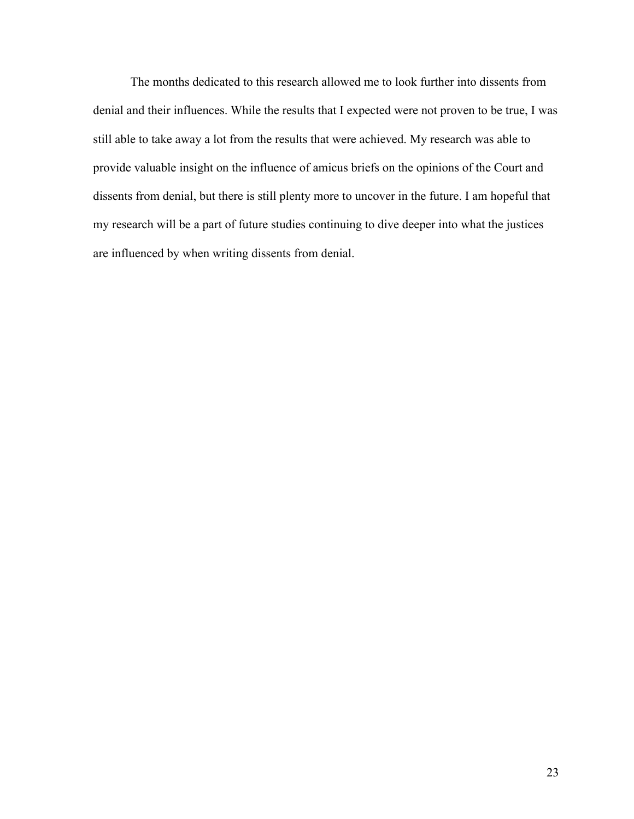The months dedicated to this research allowed me to look further into dissents from denial and their influences. While the results that I expected were not proven to be true, I was still able to take away a lot from the results that were achieved. My research was able to provide valuable insight on the influence of amicus briefs on the opinions of the Court and dissents from denial, but there is still plenty more to uncover in the future. I am hopeful that my research will be a part of future studies continuing to dive deeper into what the justices are influenced by when writing dissents from denial.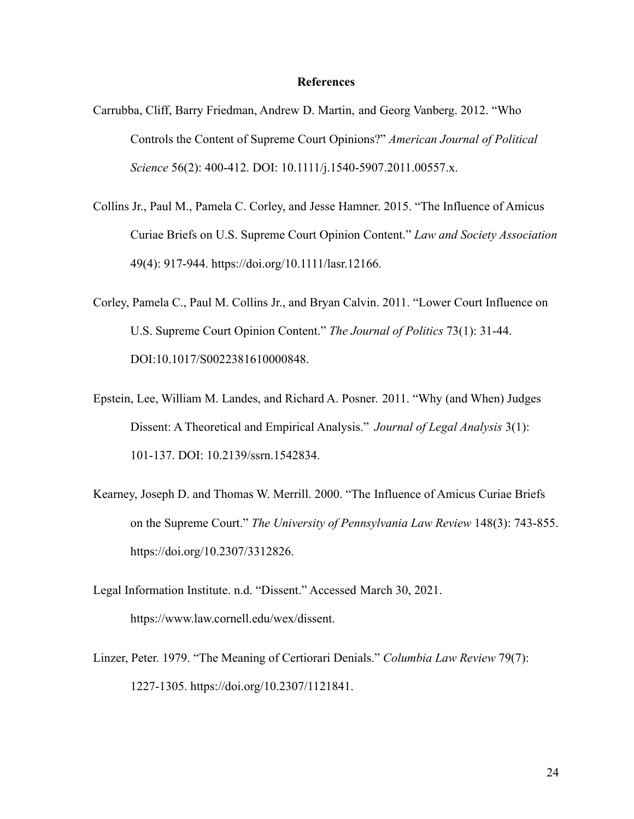## **References**

- Carrubba, Cliff, Barry Friedman, Andrew D. Martin, and Georg Vanberg. 2012. "Who Controls the Content of Supreme Court Opinions?" *American Journal of Political Science* 56(2): 400-412. DOI: 10.1111/j.1540-5907.2011.00557.x.
- Collins Jr., Paul M., Pamela C. Corley, and Jesse Hamner. 2015. "The Influence of Amicus Curiae Briefs on U.S. Supreme Court Opinion Content." *Law and Society Association* 49(4): 917-944. https://doi.org/10.1111/lasr.12166.
- Corley, Pamela C., Paul M. Collins Jr., and Bryan Calvin. 2011. "Lower Court Influence on U.S. Supreme Court Opinion Content." *The Journal of Politics* 73(1): 31-44. DOI:10.1017/S0022381610000848.
- Epstein, Lee, William M. Landes, and Richard A. Posner. 2011. "Why (and When) Judges Dissent: A Theoretical and Empirical Analysis." *Journal of Legal Analysis* 3(1): 101-137. DOI: 10.2139/ssrn.1542834.
- Kearney, Joseph D. and Thomas W. Merrill. 2000. "The Influence of Amicus Curiae Briefs on the Supreme Court." *The University of Pennsylvania Law Review* 148(3): 743-855. https://doi.org/10.2307/3312826.
- Legal Information Institute. n.d. "Dissent." Accessed March 30, 2021. https://www.law.cornell.edu/wex/dissent.
- Linzer, Peter. 1979. "The Meaning of Certiorari Denials." *Columbia Law Review* 79(7): 1227-1305. https://doi.org/10.2307/1121841.